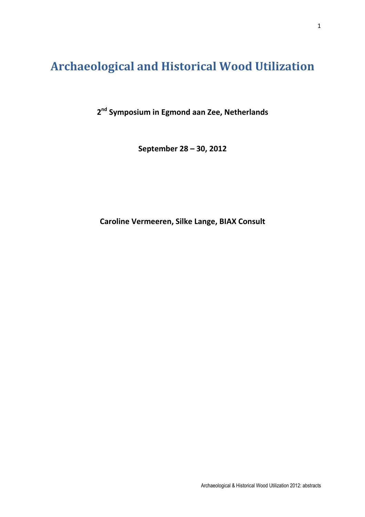# Archaeological and Historical Wood Utilization

2<sup>nd</sup> Symposium in Egmond aan Zee, Netherlands

September 28 – 30, 2012

Caroline Vermeeren, Silke Lange, BIAX Consult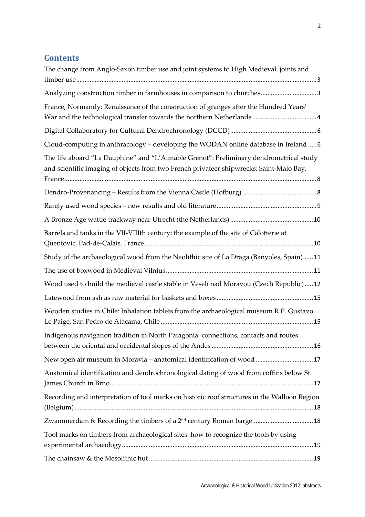# **Contents**

| The change from Anglo-Saxon timber use and joint systems to High Medieval joints and                                                                                                                                                                                                                                                                                                                                                                                                                                                                                                                                                                                                |
|-------------------------------------------------------------------------------------------------------------------------------------------------------------------------------------------------------------------------------------------------------------------------------------------------------------------------------------------------------------------------------------------------------------------------------------------------------------------------------------------------------------------------------------------------------------------------------------------------------------------------------------------------------------------------------------|
| Analyzing construction timber in farmhouses in comparison to churches3                                                                                                                                                                                                                                                                                                                                                                                                                                                                                                                                                                                                              |
| France, Normandy: Renaissance of the construction of granges after the Hundred Years'                                                                                                                                                                                                                                                                                                                                                                                                                                                                                                                                                                                               |
|                                                                                                                                                                                                                                                                                                                                                                                                                                                                                                                                                                                                                                                                                     |
| Cloud-computing in anthracology - developing the WODAN online database in Ireland  6                                                                                                                                                                                                                                                                                                                                                                                                                                                                                                                                                                                                |
| The life aboard "La Dauphine" and "L'Aimable Grenot": Preliminary dendrometrical study<br>and scientific imaging of objects from two French privateer shipwrecks; Saint-Malo Bay,<br>$\begin{minipage}{0.9\linewidth} \textbf{France} \end{minipage} \begin{minipage}{0.9\linewidth} \textbf{Range} \end{minipage} \begin{minipage}{0.9\linewidth} \textbf{0.000} \end{minipage} \begin{minipage}{0.9\linewidth} \textbf{0.000} \end{minipage} \begin{minipage}{0.9\linewidth} \textbf{0.000} \end{minipage} \begin{minipage}{0.9\linewidth} \textbf{0.000} \end{minipage} \begin{minipage}{0.9\linewidth} \textbf{0.000} \end{minipage} \begin{minipage}{0.9\linewidth} \textbf{0$ |
|                                                                                                                                                                                                                                                                                                                                                                                                                                                                                                                                                                                                                                                                                     |
|                                                                                                                                                                                                                                                                                                                                                                                                                                                                                                                                                                                                                                                                                     |
|                                                                                                                                                                                                                                                                                                                                                                                                                                                                                                                                                                                                                                                                                     |
| Barrels and tanks in the VII-VIIIth century: the example of the site of Calotterie at                                                                                                                                                                                                                                                                                                                                                                                                                                                                                                                                                                                               |
| Study of the archaeological wood from the Neolithic site of La Draga (Banyoles, Spain)11                                                                                                                                                                                                                                                                                                                                                                                                                                                                                                                                                                                            |
|                                                                                                                                                                                                                                                                                                                                                                                                                                                                                                                                                                                                                                                                                     |
| Wood used to build the medieval castle stable in Veselí nad Moravou (Czech Republic)12                                                                                                                                                                                                                                                                                                                                                                                                                                                                                                                                                                                              |
|                                                                                                                                                                                                                                                                                                                                                                                                                                                                                                                                                                                                                                                                                     |
| Wooden studies in Chile: Inhalation tablets from the archaeological museum R.P. Gustavo                                                                                                                                                                                                                                                                                                                                                                                                                                                                                                                                                                                             |
| Indigenous navigation tradition in North Patagonia: connections, contacts and routes                                                                                                                                                                                                                                                                                                                                                                                                                                                                                                                                                                                                |
| New open air museum in Moravia - anatomical identification of wood  17                                                                                                                                                                                                                                                                                                                                                                                                                                                                                                                                                                                                              |
| Anatomical identification and dendrochronological dating of wood from coffins below St.                                                                                                                                                                                                                                                                                                                                                                                                                                                                                                                                                                                             |
| Recording and interpretation of tool marks on historic roof structures in the Walloon Region                                                                                                                                                                                                                                                                                                                                                                                                                                                                                                                                                                                        |
| Zwammerdam 6: Recording the timbers of a 2 <sup>nd</sup> century Roman barge 18                                                                                                                                                                                                                                                                                                                                                                                                                                                                                                                                                                                                     |
| Tool marks on timbers from archaeological sites: how to recognize the tools by using                                                                                                                                                                                                                                                                                                                                                                                                                                                                                                                                                                                                |
|                                                                                                                                                                                                                                                                                                                                                                                                                                                                                                                                                                                                                                                                                     |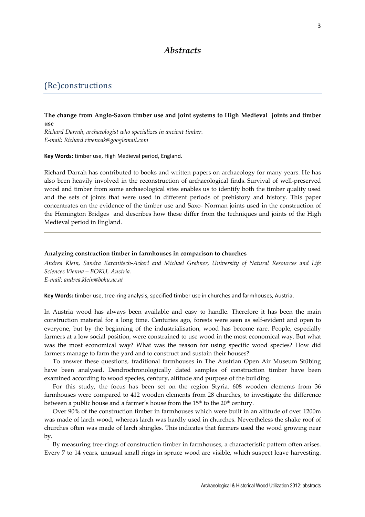# Abstracts

# (Re)constructions

## The change from Anglo-Saxon timber use and joint systems to High Medieval joints and timber use

Richard Darrah, archaeologist who specializes in ancient timber. E-mail: Richard.rivenoak@googlemail.com

Key Words: timber use, High Medieval period, England.

Richard Darrah has contributed to books and written papers on archaeology for many years. He has also been heavily involved in the reconstruction of archaeological finds. Survival of well-preserved wood and timber from some archaeological sites enables us to identify both the timber quality used and the sets of joints that were used in different periods of prehistory and history. This paper concentrates on the evidence of the timber use and Saxo- Norman joints used in the construction of the Hemington Bridges and describes how these differ from the techniques and joints of the High Medieval period in England.

#### Analyzing construction timber in farmhouses in comparison to churches

Andrea Klein, Sandra Karanitsch-Ackerl and Michael Grabner, University of Natural Resources and Life Sciences Vienna – BOKU, Austria. E-mail: andrea.klein@boku.ac.at

Key Words: timber use, tree-ring analysis, specified timber use in churches and farmhouses, Austria.

In Austria wood has always been available and easy to handle. Therefore it has been the main construction material for a long time. Centuries ago, forests were seen as self-evident and open to everyone, but by the beginning of the industrialisation, wood has become rare. People, especially farmers at a low social position, were constrained to use wood in the most economical way. But what was the most economical way? What was the reason for using specific wood species? How did farmers manage to farm the yard and to construct and sustain their houses?

To answer these questions, traditional farmhouses in The Austrian Open Air Museum Stübing have been analysed. Dendrochronologically dated samples of construction timber have been examined according to wood species, century, altitude and purpose of the building.

For this study, the focus has been set on the region Styria. 608 wooden elements from 36 farmhouses were compared to 412 wooden elements from 28 churches, to investigate the difference between a public house and a farmer's house from the 15<sup>th</sup> to the 20<sup>th</sup> century.

Over 90% of the construction timber in farmhouses which were built in an altitude of over 1200m was made of larch wood, whereas larch was hardly used in churches. Nevertheless the shake roof of churches often was made of larch shingles. This indicates that farmers used the wood growing near by.

By measuring tree-rings of construction timber in farmhouses, a characteristic pattern often arises. Every 7 to 14 years, unusual small rings in spruce wood are visible, which suspect leave harvesting.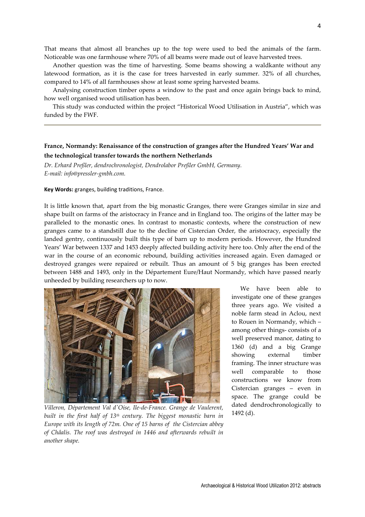That means that almost all branches up to the top were used to bed the animals of the farm. Noticeable was one farmhouse where 70% of all beams were made out of leave harvested trees.

Another question was the time of harvesting. Some beams showing a waldkante without any latewood formation, as it is the case for trees harvested in early summer. 32% of all churches, compared to 14% of all farmhouses show at least some spring harvested beams.

Analysing construction timber opens a window to the past and once again brings back to mind, how well organised wood utilisation has been.

This study was conducted within the project "Historical Wood Utilisation in Austria", which was funded by the FWF.

# France, Normandy: Renaissance of the construction of granges after the Hundred Years' War and the technological transfer towards the northern Netherlands

Dr. Erhard Preßler, dendrochronologist, Dendrolabor Preßler GmbH, Germany. E-mail: info@pressler-gmbh.com.

Key Words: granges, building traditions, France.

It is little known that, apart from the big monastic Granges, there were Granges similar in size and shape built on farms of the aristocracy in France and in England too. The origins of the latter may be paralleled to the monastic ones. In contrast to monastic contexts, where the construction of new granges came to a standstill due to the decline of Cistercian Order, the aristocracy, especially the landed gentry, continuously built this type of barn up to modern periods. However, the Hundred Years' War between 1337 and 1453 deeply affected building activity here too. Only after the end of the war in the course of an economic rebound, building activities increased again. Even damaged or destroyed granges were repaired or rebuilt. Thus an amount of 5 big granges has been erected between 1488 and 1493, only in the Département Eure/Haut Normandy, which have passed nearly unheeded by building researchers up to now.



Villeron, Département Val d'Oise, Ile-de-France. Grange de Vaulerent, built in the first half of  $13<sup>th</sup>$  century. The biggest monastic barn in Europe with its length of 72m. One of 15 barns of the Cistercian abbey of Châalis. The roof was destroyed in 1446 and afterwards rebuilt in another shape.

We have been able to investigate one of these granges three years ago. We visited a noble farm stead in Aclou, next to Rouen in Normandy, which – among other things- consists of a well preserved manor, dating to 1360 (d) and a big Grange showing external timber framing. The inner structure was well comparable to those constructions we know from Cistercian granges – even in space. The grange could be dated dendrochronologically to 1492 (d).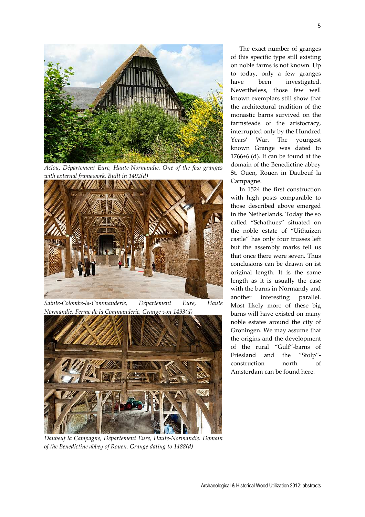

Aclou, Département Eure, Haute-Normandie. One of the few granges with external framework. Built in 1492(d)



Sainte-Colombe-la-Commanderie, Département Eure, Haute Normandie. Ferme de la Commanderie, Grange von 1493(d)



Daubeuf la Campagne, Département Eure, Haute-Normandie. Domain of the Benedictine abbey of Rouen. Grange dating to 1488(d)

The exact number of granges of this specific type still existing on noble farms is not known. Up to today, only a few granges have been investigated. Nevertheless, those few well known exemplars still show that the architectural tradition of the monastic barns survived on the farmsteads of the aristocracy, interrupted only by the Hundred Years' War. The youngest known Grange was dated to 1766±6 (d). It can be found at the domain of the Benedictine abbey St. Ouen, Rouen in Daubeuf la Campagne.

In 1524 the first construction with high posts comparable to those described above emerged in the Netherlands. Today the so called "Schathues" situated on the noble estate of "Uithuizen castle" has only four trusses left but the assembly marks tell us that once there were seven. Thus conclusions can be drawn on ist original length. It is the same length as it is usually the case with the barns in Normandy and another interesting parallel. Most likely more of these big barns will have existed on many noble estates around the city of Groningen. We may assume that the origins and the development of the rural "Gulf"-barns of Friesland and the "Stolp" construction north of Amsterdam can be found here.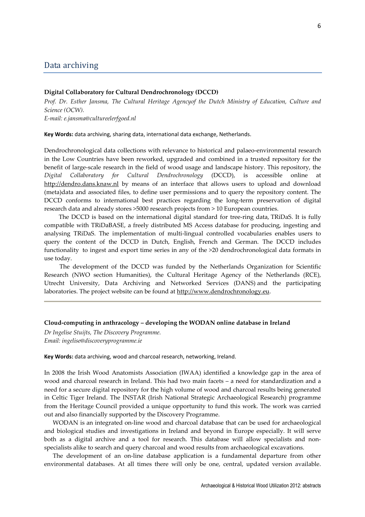# Data archiving

#### Digital Collaboratory for Cultural Dendrochronology (DCCD)

Prof. Dr. Esther Jansma, The Cultural Heritage Agencyof the Dutch Ministry of Education, Culture and Science (OCW).

E-mail: e.jansma@cultureelerfgoed.nl

Key Words: data archiving, sharing data, international data exchange, Netherlands.

Dendrochronological data collections with relevance to historical and palaeo-environmental research in the Low Countries have been reworked, upgraded and combined in a trusted repository for the benefit of large-scale research in the field of wood usage and landscape history. This repository, the Digital Collaboratory for Cultural Dendrochronology (DCCD), is accessible online at http://dendro.dans.knaw.nl by means of an interface that allows users to upload and download (meta)data and associated files, to define user permissions and to query the repository content. The DCCD conforms to international best practices regarding the long-term preservation of digital research data and already stores >5000 research projects from > 10 European countries.

 The DCCD is based on the international digital standard for tree-ring data, TRiDaS. It is fully compatible with TRiDaBASE, a freely distributed MS Access database for producing, ingesting and analysing TRiDaS. The implementation of multi-lingual controlled vocabularies enables users to query the content of the DCCD in Dutch, English, French and German. The DCCD includes functionality to ingest and export time series in any of the >20 dendrochronological data formats in use today.

 The development of the DCCD was funded by the Netherlands Organization for Scientific Research (NWO section Humanities), the Cultural Heritage Agency of the Netherlands (RCE), Utrecht University, Data Archiving and Networked Services (DANS) and the participating laboratories. The project website can be found at http://www.dendrochronology.eu.

#### Cloud-computing in anthracology – developing the WODAN online database in Ireland

Dr Ingelise Stuijts, The Discovery Programme. Email: ingelise@discoveryprogramme.ie

#### Key Words: data archiving, wood and charcoal research, networking, Ireland.

In 2008 the Irish Wood Anatomists Association (IWAA) identified a knowledge gap in the area of wood and charcoal research in Ireland. This had two main facets – a need for standardization and a need for a secure digital repository for the high volume of wood and charcoal results being generated in Celtic Tiger Ireland. The INSTAR (Irish National Strategic Archaeological Research) programme from the Heritage Council provided a unique opportunity to fund this work. The work was carried out and also financially supported by the Discovery Programme.

WODAN is an integrated on-line wood and charcoal database that can be used for archaeological and biological studies and investigations in Ireland and beyond in Europe especially. It will serve both as a digital archive and a tool for research. This database will allow specialists and nonspecialists alike to search and query charcoal and wood results from archaeological excavations.

The development of an on-line database application is a fundamental departure from other environmental databases. At all times there will only be one, central, updated version available.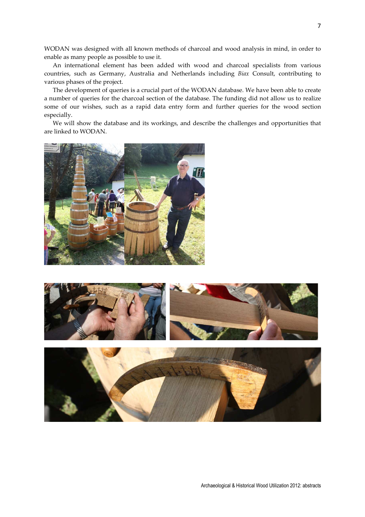WODAN was designed with all known methods of charcoal and wood analysis in mind, in order to enable as many people as possible to use it.

An international element has been added with wood and charcoal specialists from various countries, such as Germany, Australia and Netherlands including Biax Consult, contributing to various phases of the project.

The development of queries is a crucial part of the WODAN database. We have been able to create a number of queries for the charcoal section of the database. The funding did not allow us to realize some of our wishes, such as a rapid data entry form and further queries for the wood section especially.

We will show the database and its workings, and describe the challenges and opportunities that are linked to WODAN.



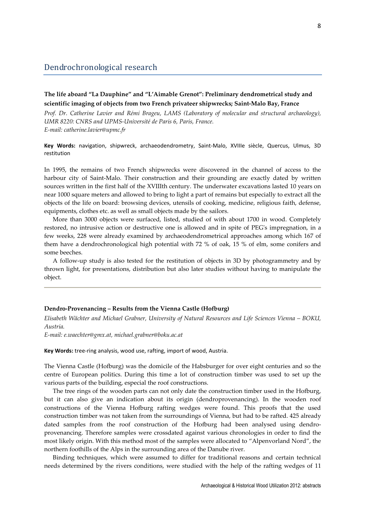# The life aboard "La Dauphine" and "L'Aimable Grenot": Preliminary dendrometrical study and scientific imaging of objects from two French privateer shipwrecks; Saint-Malo Bay, France

Prof. Dr. Catherine Lavier and Rémi Brageu, LAMS (Laboratory of molecular and structural archaeology), UMR 8220: CNRS and UPMS-Université de Paris 6, Paris, France. E-mail: catherine.lavier@upmc.fr

Key Words: navigation, shipwreck, archaeodendrometry, Saint-Malo, XVIIIe siècle, Quercus, Ulmus, 3D restitution

In 1995, the remains of two French shipwrecks were discovered in the channel of access to the harbour city of Saint-Malo. Their construction and their grounding are exactly dated by written sources written in the first half of the XVIIIth century. The underwater excavations lasted 10 years on near 1000 square meters and allowed to bring to light a part of remains but especially to extract all the objects of the life on board: browsing devices, utensils of cooking, medicine, religious faith, defense, equipments, clothes etc. as well as small objects made by the sailors.

More than 3000 objects were surfaced, listed, studied of with about 1700 in wood. Completely restored, no intrusive action or destructive one is allowed and in spite of PEG's impregnation, in a few weeks, 228 were already examined by archaeodendrometrical approaches among which 167 of them have a dendrochronological high potential with 72 % of oak, 15 % of elm, some conifers and some beeches.

A follow-up study is also tested for the restitution of objects in 3D by photogrammetry and by thrown light, for presentations, distribution but also later studies without having to manipulate the object.

#### Dendro-Provenancing – Results from the Vienna Castle (Hofburg)

Elisabeth Wächter and Michael Grabner, University of Natural Resources and Life Sciences Vienna – BOKU, Austria.

E-mail: e.waechter@gmx.at, michael.grabner@boku.ac.at

Key Words: tree-ring analysis, wood use, rafting, import of wood, Austria.

The Vienna Castle (Hofburg) was the domicile of the Habsburger for over eight centuries and so the centre of European politics. During this time a lot of construction timber was used to set up the various parts of the building, especial the roof constructions.

The tree rings of the wooden parts can not only date the construction timber used in the Hofburg, but it can also give an indication about its origin (dendroprovenancing). In the wooden roof constructions of the Vienna Hofburg rafting wedges were found. This proofs that the used construction timber was not taken from the surroundings of Vienna, but had to be rafted. 425 already dated samples from the roof construction of the Hofburg had been analysed using dendroprovenancing. Therefore samples were crossdated against various chronologies in order to find the most likely origin. With this method most of the samples were allocated to "Alpenvorland Nord", the northern foothills of the Alps in the surrounding area of the Danube river.

Binding techniques, which were assumed to differ for traditional reasons and certain technical needs determined by the rivers conditions, were studied with the help of the rafting wedges of 11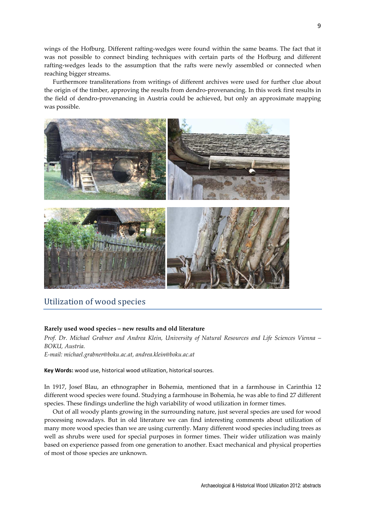wings of the Hofburg. Different rafting-wedges were found within the same beams. The fact that it was not possible to connect binding techniques with certain parts of the Hofburg and different rafting-wedges leads to the assumption that the rafts were newly assembled or connected when reaching bigger streams.

Furthermore transliterations from writings of different archives were used for further clue about the origin of the timber, approving the results from dendro-provenancing. In this work first results in the field of dendro-provenancing in Austria could be achieved, but only an approximate mapping was possible.



# Utilization of wood species

## Rarely used wood species – new results and old literature

Prof. Dr. Michael Grabner and Andrea Klein, University of Natural Resources and Life Sciences Vienna – BOKU, Austria.

E-mail: michael.grabner@boku.ac.at, andrea.klein@boku.ac.at

Key Words: wood use, historical wood utilization, historical sources.

In 1917, Josef Blau, an ethnographer in Bohemia, mentioned that in a farmhouse in Carinthia 12 different wood species were found. Studying a farmhouse in Bohemia, he was able to find 27 different species. These findings underline the high variability of wood utilization in former times.

Out of all woody plants growing in the surrounding nature, just several species are used for wood processing nowadays. But in old literature we can find interesting comments about utilization of many more wood species than we are using currently. Many different wood species including trees as well as shrubs were used for special purposes in former times. Their wider utilization was mainly based on experience passed from one generation to another. Exact mechanical and physical properties of most of those species are unknown.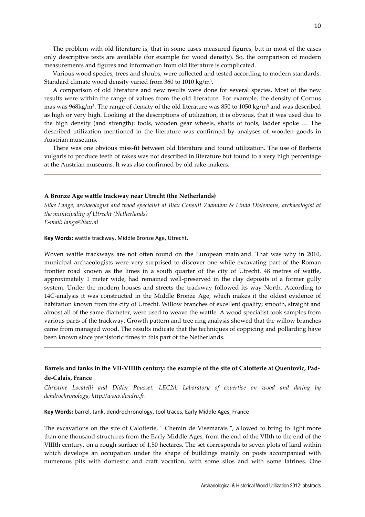The problem with old literature is, that in some cases measured figures, but in most of the cases only descriptive texts are available (for example for wood density). So, the comparison of modern measurements and figures and information from old literature is complicated.

Various wood species, trees and shrubs, were collected and tested according to modern standards. Standard climate wood density varied from 360 to 1010 kg/m<sup>3</sup>.

A comparison of old literature and new results were done for several species. Most of the new results were within the range of values from the old literature. For example, the density of Cornus mas was 968kg/m<sup>3</sup>. The range of density of the old literature was 850 to 1050 kg/m<sup>3</sup> and was described as high or very high. Looking at the descriptions of utilization, it is obvious, that it was used due to the high density (and strength): tools, wooden gear wheels, shafts of tools, ladder spoke … The described utilization mentioned in the literature was confirmed by analyses of wooden goods in Austrian museums.

There was one obvious miss-fit between old literature and found utilization. The use of Berberis vulgaris to produce teeth of rakes was not described in literature but found to a very high percentage at the Austrian museums. It was also confirmed by old rake-makers.

#### A Bronze Age wattle trackway near Utrecht (the Netherlands)

Silke Lange, archaeologist and wood specialist at Biax Consult Zaandam & Linda Dielemans, archaeologist at the municipality of Utrecht (Netherlands) E-mail: lange@biax.nl

Key Words: wattle trackway, Middle Bronze Age, Utrecht.

Woven wattle trackways are not often found on the European mainland. That was why in 2010, municipal archaeologists were very surprised to discover one while excavating part of the Roman frontier road known as the limes in a south quarter of the city of Utrecht. 48 metres of wattle, approximately 1 meter wide, had remained well-preserved in the clay deposits of a former gully system. Under the modern houses and streets the trackway followed its way North. According to 14C-analysis it was constructed in the Middle Bronze Age, which makes it the oldest evidence of habitation known from the city of Utrecht. Willow branches of excellent quality; smooth, straight and almost all of the same diameter, were used to weave the wattle. A wood specialist took samples from various parts of the trackway. Growth pattern and tree ring analysis showed that the willow branches came from managed wood. The results indicate that the techniques of coppicing and pollarding have been known since prehistoric times in this part of the Netherlands.

# Barrels and tanks in the VII-VIIIth century: the example of the site of Calotterie at Quentovic, Padde-Calais, France

Christine Locatelli and Didier Pousset, LEC2d, Laboratory of expertise on wood and dating by dendrochronology, http://www.dendro.fr.

Key Words: barrel, tank, dendrochronology, tool traces, Early Middle Ages, France

The excavations on the site of Calotterie, " Chemin de Visemarais ", allowed to bring to light more than one thousand structures from the Early Middle Ages, from the end of the VIIth to the end of the VIIIth century, on a rough surface of 1,50 hectares. The set corresponds to seven plots of land within which develops an occupation under the shape of buildings mainly on posts accompanied with numerous pits with domestic and craft vocation, with some silos and with some latrines. One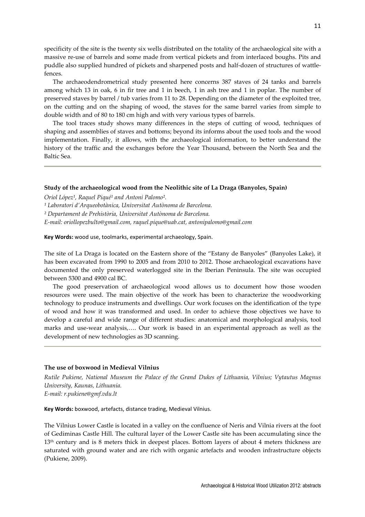specificity of the site is the twenty six wells distributed on the totality of the archaeological site with a massive re-use of barrels and some made from vertical pickets and from interlaced boughs. Pits and puddle also supplied hundred of pickets and sharpened posts and half-dozen of structures of wattlefences.

The archaeodendrometrical study presented here concerns 387 staves of 24 tanks and barrels among which 13 in oak, 6 in fir tree and 1 in beech, 1 in ash tree and 1 in poplar. The number of preserved staves by barrel / tub varies from 11 to 28. Depending on the diameter of the exploited tree, on the cutting and on the shaping of wood, the staves for the same barrel varies from simple to double width and of 80 to 180 cm high and with very various types of barrels.

The tool traces study shows many differences in the steps of cutting of wood, techniques of shaping and assemblies of staves and bottoms; beyond its informs about the used tools and the wood implementation. Finally, it allows, with the archaeological information, to better understand the history of the traffic and the exchanges before the Year Thousand, between the North Sea and the Baltic Sea.

#### Study of the archaeological wood from the Neolithic site of La Draga (Banyoles, Spain)

Oriol López<sup>1</sup>, Raquel Piqué<sup>1</sup> and Antoni Palomo<sup>2</sup>.

<sup>1</sup> Laboratori d'Arqueobotànica, Universitat Autònoma de Barcelona.

² Departament de Prehistòria, Universitat Autònoma de Barcelona.

E-mail: oriollopezbulto@gmail.com, raquel.pique@uab.cat, antonipalomo@gmail.com

Key Words: wood use, toolmarks, experimental archaeology, Spain.

The site of La Draga is located on the Eastern shore of the "Estany de Banyoles" (Banyoles Lake), it has been excavated from 1990 to 2005 and from 2010 to 2012. Those archaeological excavations have documented the only preserved waterlogged site in the Iberian Peninsula. The site was occupied between 5300 and 4900 cal BC.

The good preservation of archaeological wood allows us to document how those wooden resources were used. The main objective of the work has been to characterize the woodworking technology to produce instruments and dwellings. Our work focuses on the identification of the type of wood and how it was transformed and used. In order to achieve those objectives we have to develop a careful and wide range of different studies: anatomical and morphological analysis, tool marks and use-wear analysis,…. Our work is based in an experimental approach as well as the development of new technologies as 3D scanning.

## The use of boxwood in Medieval Vilnius

Rutile Pukiene, National Museum the Palace of the Grand Dukes of Lithuania, Vilnius; Vytautus Magnus University, Kaunas, Lithuania.

E-mail: r.pukiene@gmf.vdu.lt

Key Words: boxwood, artefacts, distance trading, Medieval Vilnius.

The Vilnius Lower Castle is located in a valley on the confluence of Neris and Vilnia rivers at the foot of Gediminas Castle Hill. The cultural layer of the Lower Castle site has been accumulating since the 13<sup>th</sup> century and is 8 meters thick in deepest places. Bottom layers of about 4 meters thickness are saturated with ground water and are rich with organic artefacts and wooden infrastructure objects (Pukiene, 2009).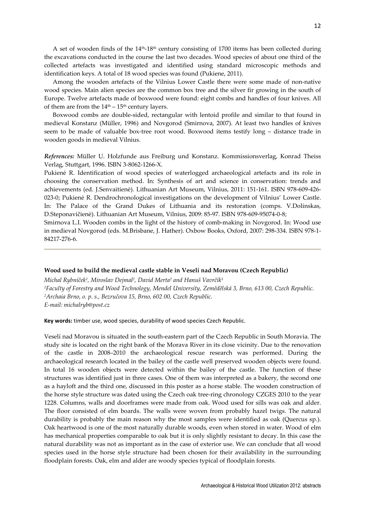A set of wooden finds of the 14th-18th century consisting of 1700 items has been collected during the excavations conducted in the course the last two decades. Wood species of about one third of the collected artefacts was investigated and identified using standard microscopic methods and identification keys. A total of 18 wood species was found (Pukiene, 2011).

Among the wooden artefacts of the Vilnius Lower Castle there were some made of non-native wood species. Main alien species are the common box tree and the silver fir growing in the south of Europe. Twelve artefacts made of boxwood were found: eight combs and handles of four knives. All of them are from the  $14<sup>th</sup> - 15<sup>th</sup>$  century layers.

Boxwood combs are double-sided, rectangular with lentoid profile and similar to that found in medieval Konstanz (Müller, 1996) and Novgorod (Smirnova, 2007). At least two handles of knives seem to be made of valuable box-tree root wood. Boxwood items testify long – distance trade in wooden goods in medieval Vilnius.

References: Müller U. Holzfunde aus Freiburg und Konstanz. Kommissionsverlag, Konrad Theiss Verlag, Stuttgart, 1996. ISBN 3-8062-1266-X.

Pukienė R. Identification of wood species of waterlogged archaeological artefacts and its role in choosing the conservation method. In: Synthesis of art and science in conservation: trends and achievements (ed. J.Senvaitienė). Lithuanian Art Museum, Vilnius, 2011: 151-161. ISBN 978-609-426- 023-0; Pukienė R. Dendrochronological investigations on the development of Vilnius' Lower Castle. In: The Palace of the Grand Dukes of Lithuania and its restoration (comps. V.Dolinskas, D.Steponavičienė). Lithuanian Art Museum, Vilnius, 2009: 85-97. ISBN 978-609-95074-0-8;

Smirnova L.I. Wooden combs in the light of the history of comb-making in Novgorod. In: Wood use in medieval Novgorod (eds. M.Brisbane, J. Hather). Oxbow Books, Oxford, 2007: 298-334. ISBN 978-1- 84217-276-6.

#### Wood used to build the medieval castle stable in Veselí nad Moravou (Czech Republic)

Michal Rybníček1, Miroslav Dejmal2, David Merta<sup>2</sup> and Hanuš Vavrčík1 <sup>1</sup>Faculty of Forestry and Wood Technology, Mendel University, Zemědělská 3, Brno, 613 00, Czech Republic. <sup>2</sup>Archaia Brno, o. p. s., Bezručova 15, Brno, 602 00, Czech Republic. E-mail: michalryb@post.cz

Key words: timber use, wood species, durability of wood species Czech Republic.

Veselí nad Moravou is situated in the south-eastern part of the Czech Republic in South Moravia. The study site is located on the right bank of the Morava River in its close vicinity. Due to the renovation of the castle in 2008–2010 the archaeological rescue research was performed. During the archaeological research located in the bailey of the castle well preserved wooden objects were found. In total 16 wooden objects were detected within the bailey of the castle. The function of these structures was identified just in three cases. One of them was interpreted as a bakery, the second one as a hayloft and the third one, discussed in this poster as a horse stable. The wooden construction of the horse style structure was dated using the Czech oak tree-ring chronology CZGES 2010 to the year 1228. Columns, walls and doorframes were made from oak. Wood used for sills was oak and alder. The floor consisted of elm boards. The walls were woven from probably hazel twigs. The natural durability is probably the main reason why the most samples were identified as oak (Quercus sp.). Oak heartwood is one of the most naturally durable woods, even when stored in water. Wood of elm has mechanical properties comparable to oak but it is only slightly resistant to decay. In this case the natural durability was not as important as in the case of exterior use. We can conclude that all wood species used in the horse style structure had been chosen for their availability in the surrounding floodplain forests. Oak, elm and alder are woody species typical of floodplain forests.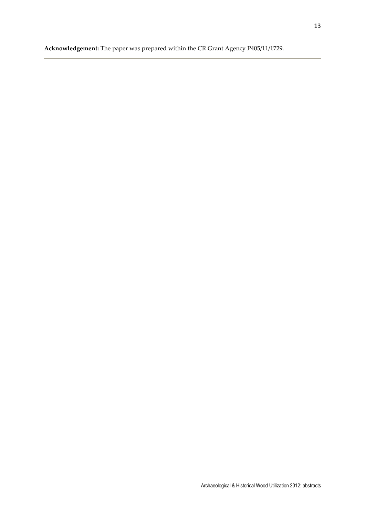Acknowledgement: The paper was prepared within the CR Grant Agency P405/11/1729.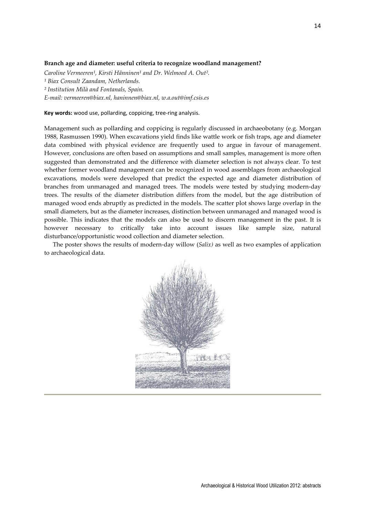#### Branch age and diameter: useful criteria to recognize woodland management?

Caroline Vermeeren<sup>1</sup>, Kirsti Hänninen<sup>1</sup> and Dr. Welmoed A. Out<sup>2</sup>. <sup>1</sup> Biax Consult Zaandam, Netherlands. ² Institution Milà and Fontanals, Spain. E-mail: vermeeren@biax.nl, haninnen@biax.nl, w.a.out@imf.csis.es

Key words: wood use, pollarding, coppicing, tree-ring analysis.

Management such as pollarding and coppicing is regularly discussed in archaeobotany (e.g. Morgan 1988, Rasmussen 1990). When excavations yield finds like wattle work or fish traps, age and diameter data combined with physical evidence are frequently used to argue in favour of management. However, conclusions are often based on assumptions and small samples, management is more often suggested than demonstrated and the difference with diameter selection is not always clear. To test whether former woodland management can be recognized in wood assemblages from archaeological excavations, models were developed that predict the expected age and diameter distribution of branches from unmanaged and managed trees. The models were tested by studying modern-day trees. The results of the diameter distribution differs from the model, but the age distribution of managed wood ends abruptly as predicted in the models. The scatter plot shows large overlap in the small diameters, but as the diameter increases, distinction between unmanaged and managed wood is possible. This indicates that the models can also be used to discern management in the past. It is however necessary to critically take into account issues like sample size, natural disturbance/opportunistic wood collection and diameter selection.

The poster shows the results of modern-day willow (Salix) as well as two examples of application to archaeological data.

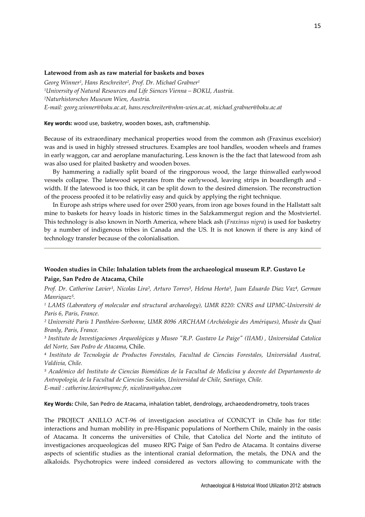## Latewood from ash as raw material for baskets and boxes

Georg Winner<sup>1</sup> , Hans Reschreiter<sup>2</sup> , Prof. Dr. Michael Grabner<sup>1</sup> <sup>1</sup>University of Natural Resources and Life Siences Vienna – BOKU, Austria. <sup>2</sup>Naturhistorsches Museum Wien, Austria. E-mail: georg.winner@boku.ac.at, hans.reschreiter@nhm-wien.ac.at, michael.grabner@boku.ac.at

#### Key words: wood use, basketry, wooden boxes, ash, craftmenship.

Because of its extraordinary mechanical properties wood from the common ash (Fraxinus excelsior) was and is used in highly stressed structures. Examples are tool handles, wooden wheels and frames in early waggon, car and aeroplane manufacturing. Less known is the the fact that latewood from ash was also used for plaited basketry and wooden boxes.

By hammering a radially split board of the ringporous wood, the large thinwalled earlywood vessels collapse. The latewood seperates from the earlywood, leaving strips in boardlength and width. If the latewood is too thick, it can be split down to the desired dimension. The reconstruction of the process proofed it to be relativliy easy and quick by applying the right technique.

In Europe ash strips where used for over 2500 years, from iron age boxes found in the Hallstatt salt mine to baskets for heavy loads in historic times in the Salzkammergut region and the Mostviertel. This technology is also known in North America, where black ash (*Fraxinus nigra*) is used for basketry by a number of indigenous tribes in Canada and the US. It is not known if there is any kind of technology transfer because of the colonialisation.

# Wooden studies in Chile: Inhalation tablets from the archaeological museum R.P. Gustavo Le Paige, San Pedro de Atacama, Chile

Prof. Dr. Catherine Lavier<sup>1</sup>, Nicolas Lira<sup>2</sup>, Arturo Torres<sup>3</sup>, Helena Horta<sup>3</sup>, Juan Eduardo Diaz Vaz<sup>4</sup>, German Manriquez<sup>5</sup>.

1 LAMS (Laboratory of molecular and structural archaeology), UMR 8220: CNRS and UPMC-Université de Paris 6, Paris, France.

² Université Paris 1 Panthéon-Sorbonne, UMR 8096 ARCHAM (Archéologie des Amériques), Musée du Quai Branly, Paris, France.

³ Instituto de Investigaciones Arqueológicas y Museo "R.P. Gustavo Le Paige" (IIAM) , Universidad Catolica del Norte, San Pedro de Atacama, Chile.

⁴ Instituto de Tecnología de Productos Forestales, Facultad de Ciencias Forestales, Universidad Austral, Valdivia, Chile.

⁵ Académico del Instituto de Ciencias Biomédicas de la Facultad de Medicina y docente del Departamento de Antropología, de la Facultad de Ciencias Sociales, Universidad de Chile, Santiago, Chile. E-mail : catherine.lavier@upmc.fr, nicoliras@yahoo.com

Key Words: Chile, San Pedro de Atacama, inhalation tablet, dendrology, archaeodendrometry, tools traces

The PROJECT ANILLO ACT-96 of investigacion asociativa of CONICYT in Chile has for title: interactions and human mobility in pre-Hispanic populations of Northern Chile, mainly in the oasis of Atacama. It concerns the universities of Chile, that Catolica del Norte and the intituto of investigaciones arcqueologicas del museo RPG Paige of San Pedro de Atacama. It contains diverse aspects of scientific studies as the intentional cranial deformation, the metals, the DNA and the alkaloids. Psychotropics were indeed considered as vectors allowing to communicate with the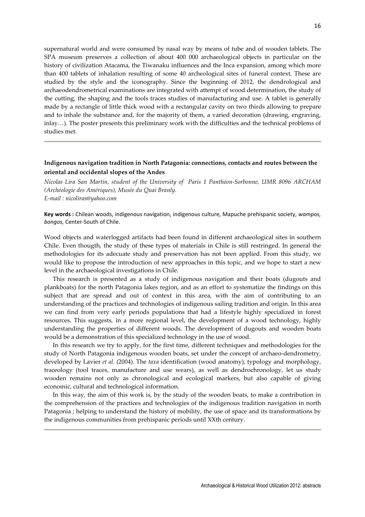supernatural world and were consumed by nasal way by means of tube and of wooden tablets. The SPA museum preserves a collection of about 400 000 archaeological objects in particular on the history of civilization Atacama, the Tiwanaku influences and the Inca expansion, among which more than 400 tablets of inhalation resulting of some 40 archeological sites of funeral context. These are studied by the style and the iconography. Since the beginning of 2012, the dendrological and archaeodendrometrical examinations are integrated with attempt of wood determination, the study of the cutting, the shaping and the tools traces studies of manufacturing and use. A tablet is generally made by a rectangle of little thick wood with a rectangular cavity on two thirds allowing to prepare and to inhale the substance and, for the majority of them, a varied decoration (drawing, engraving, inlay…). The poster presents this preliminary work with the difficulties and the technical problems of studies met.

# Indigenous navigation tradition in North Patagonia: connections, contacts and routes between the oriental and occidental slopes of the Andes

Nicolas Lira San Martín, student of the University of Paris 1 Panthéon-Sorbonne, UMR 8096 ARCHAM (Archéologie des Amériques), Musée du Quai Branly. E-mail : nicoliras@yahoo.com

Key words : Chilean woods, indigenous navigation, indigenous culture, Mapuche prehispanic society, wampos, bongos, Center-South of Chile.

Wood objects and waterlogged artifacts had been found in different archaeological sites in southern Chile. Even thougth, the study of these types of materials in Chile is still restringed. In general the methodologies for its adecuate study and preservation has not been applied. From this study, we would like to propose the introduction of new approaches in this topic, and we hope to start a new level in the archaeological investigations in Chile.

This research is presented as a study of indigenous navigation and their boats (dugouts and plankboats) for the north Patagonia lakes region, and as an effort to systematize the findings on this subject that are spread and out of context in this area, with the aim of contributing to an understanding of the practices and technologies of indigenous sailing tradition and origin. In this area we can find from very early periods populations that had a lifestyle highly specialized in forest resources. This suggests, in a more regional level, the development of a wood technology, highly understanding the properties of different woods. The development of dugouts and wooden boats would be a demonstration of this specialized technology in the use of wood.

In this research we try to apply, for the first time, different techniques and methodologies for the study of North Patagonia indigenous wooden boats, set under the concept of archaeo-dendrometry, developed by Lavier *et al.* (2004). The *taxa* identification (wood anatomy), typology and morphology, traceology (tool traces, manufacture and use wears), as well as dendrochronology, let us study wooden remains not only as chronological and ecological markers, but also capable of giving economic, cultural and technological information.

In this way, the aim of this work is, by the study of the wooden boats, to make a contribution in the comprehension of the practices and technologies of the indigenous tradition navigation in north Patagonia ; helping to understand the history of mobility, the use of space and its transformations by the indigenous communities from prehispanic periods until XXth century.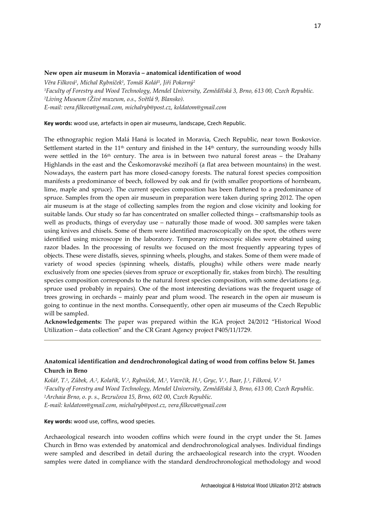## New open air museum in Moravia – anatomical identification of wood

Věra Filková<sup>1</sup>, Michal Rybníček<sup>1</sup>, Tomáš Kolář<sup>1</sup>, Jiří Pokorný<sup>2</sup> <sup>1</sup>Faculty of Forestry and Wood Technology, Mendel University, Zemědělská 3, Brno, 613 00, Czech Republic. <sup>2</sup>Living Museum (Živé muzeum, o.s., Světlá 9, Blansko). E-mail: vera.filkova@gmail.com, michalryb@post.cz, koldatom@gmail.com

## Key words: wood use, artefacts in open air museums, landscape, Czech Republic.

The ethnographic region Malá Haná is located in Moravia, Czech Republic, near town Boskovice. Settlement started in the  $11<sup>th</sup>$  century and finished in the  $14<sup>th</sup>$  century, the surrounding woody hills were settled in the 16th century. The area is in between two natural forest areas – the Drahany Highlands in the east and the Českomoravské mezihoří (a flat area between mountains) in the west. Nowadays, the eastern part has more closed-canopy forests. The natural forest species composition manifests a predominance of beech, followed by oak and fir (with smaller proportions of hornbeam, lime, maple and spruce). The current species composition has been flattened to a predominance of spruce. Samples from the open air museum in preparation were taken during spring 2012. The open air museum is at the stage of collecting samples from the region and close vicinity and looking for suitable lands. Our study so far has concentrated on smaller collected things – craftsmanship tools as well as products, things of everyday use – naturally those made of wood. 300 samples were taken using knives and chisels. Some of them were identified macroscopically on the spot, the others were identified using microscope in the laboratory. Temporary microscopic slides were obtained using razor blades. In the processing of results we focused on the most frequently appearing types of objects. These were distaffs, sieves, spinning wheels, ploughs, and stakes. Some of them were made of variety of wood species (spinning wheels, distaffs, ploughs) while others were made nearly exclusively from one species (sieves from spruce or exceptionally fir, stakes from birch). The resulting species composition corresponds to the natural forest species composition, with some deviations (e.g. spruce used probably in repairs). One of the most interesting deviations was the frequent usage of trees growing in orchards – mainly pear and plum wood. The research in the open air museum is going to continue in the next months. Consequently, other open air museums of the Czech Republic will be sampled.

Acknowledgements: The paper was prepared within the IGA project 24/2012 "Historical Wood Utilization – data collection" and the CR Grant Agency project P405/11/1729.

# Anatomical identification and dendrochronological dating of wood from coffins below St. James Church in Brno

Kolář, T.<sup>1</sup>, Zůbek, A.<sup>2</sup>, Kolařík, V.<sup>2</sup>, Rybníček, M.<sup>1</sup>, Vavrčík, H.<sup>1</sup>, Gryc, V.<sup>1</sup>, Baar, J.<sup>1</sup>, Filková, V.<sup>1</sup> <sup>1</sup>Faculty of Forestry and Wood Technology, Mendel University, Zemědělská 3, Brno, 613 00, Czech Republic. <sup>2</sup>Archaia Brno, o. p. s., Bezručova 15, Brno, 602 00, Czech Republic. E-mail: koldatom@gmail.com, michalryb@post.cz, vera.filkova@gmail.com

Key words: wood use, coffins, wood species.

Archaeological research into wooden coffins which were found in the crypt under the St. James Church in Brno was extended by anatomical and dendrochronological analyses. Individual findings were sampled and described in detail during the archaeological research into the crypt. Wooden samples were dated in compliance with the standard dendrochronological methodology and wood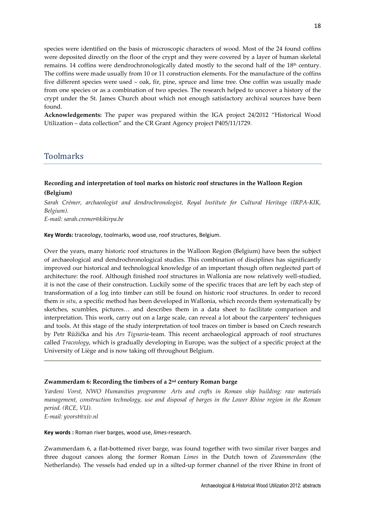species were identified on the basis of microscopic characters of wood. Most of the 24 found coffins were deposited directly on the floor of the crypt and they were covered by a layer of human skeletal remains. 14 coffins were dendrochronologically dated mostly to the second half of the 18<sup>th</sup> century. The coffins were made usually from 10 or 11 construction elements. For the manufacture of the coffins five different species were used – oak, fir, pine, spruce and lime tree. One coffin was usually made from one species or as a combination of two species. The research helped to uncover a history of the crypt under the St. James Church about which not enough satisfactory archival sources have been found.

Acknowledgements: The paper was prepared within the IGA project 24/2012 "Historical Wood Utilization – data collection" and the CR Grant Agency project P405/11/1729.

# Toolmarks

# Recording and interpretation of tool marks on historic roof structures in the Walloon Region (Belgium)

Sarah Crémer, archaeologist and dendrochronologist, Royal Institute for Cultural Heritage (IRPA-KIK, Belgium).

E-mail: sarah.cremer@kikirpa.be

Key Words: traceology, toolmarks, wood use, roof structures, Belgium.

Over the years, many historic roof structures in the Walloon Region (Belgium) have been the subject of archaeological and dendrochronological studies. This combination of disciplines has significantly improved our historical and technological knowledge of an important though often neglected part of architecture: the roof. Although finished roof structures in Wallonia are now relatively well-studied, it is not the case of their construction. Luckily some of the specific traces that are left by each step of transformation of a log into timber can still be found on historic roof structures. In order to record them *in situ*, a specific method has been developed in Wallonia, which records them systematically by sketches, scumbles, pictures… and describes them in a data sheet to facilitate comparison and interpretation. This work, carry out on a large scale, can reveal a lot about the carpenters' techniques and tools. At this stage of the study interpretation of tool traces on timber is based on Czech research by Petr Růžička and his Ars Tignaria-team. This recent archaeological approach of roof structures called Traceology, which is gradually developing in Europe, was the subject of a specific project at the University of Liège and is now taking off throughout Belgium.

## Zwammerdam 6: Recording the timbers of a  $2<sup>nd</sup>$  century Roman barge

Yardeni Vorst, NWO Humanities programme Arts and crafts in Roman ship building: raw materials management, construction technology, use and disposal of barges in the Lower Rhine region in the Roman period. (RCE, VU).

E-mail: yvorst@xiv.nl

Key words : Roman river barges, wood use, limes-research.

Zwammerdam 6, a flat-bottemed river barge, was found together with two similar river barges and three dugout canoes along the former Roman Limes in the Dutch town of Zwammerdam (the Netherlands). The vessels had ended up in a silted-up former channel of the river Rhine in front of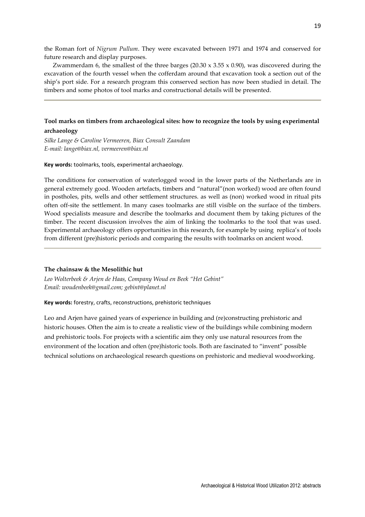the Roman fort of Nigrum Pullum. They were excavated between 1971 and 1974 and conserved for future research and display purposes.

Zwammerdam 6, the smallest of the three barges  $(20.30 \times 3.55 \times 0.90)$ , was discovered during the excavation of the fourth vessel when the cofferdam around that excavation took a section out of the ship's port side. For a research program this conserved section has now been studied in detail. The timbers and some photos of tool marks and constructional details will be presented.

# Tool marks on timbers from archaeological sites: how to recognize the tools by using experimental archaeology

Silke Lange & Caroline Vermeeren, Biax Consult Zaandam E-mail: lange@biax.nl, vermeeren@biax.nl

Key words: toolmarks, tools, experimental archaeology.

The conditions for conservation of waterlogged wood in the lower parts of the Netherlands are in general extremely good. Wooden artefacts, timbers and "natural"(non worked) wood are often found in postholes, pits, wells and other settlement structures. as well as (non) worked wood in ritual pits often off-site the settlement. In many cases toolmarks are still visible on the surface of the timbers. Wood specialists measure and describe the toolmarks and document them by taking pictures of the timber. The recent discussion involves the aim of linking the toolmarks to the tool that was used. Experimental archaeology offers opportunities in this research, for example by using replica's of tools from different (pre)historic periods and comparing the results with toolmarks on ancient wood.

## The chainsaw & the Mesolithic hut

Leo Wolterbeek & Arjen de Haas, Company Woud en Beek "Het Gebint" Email: woudenbeek@gmail.com; gebint@planet.nl

Key words: forestry, crafts, reconstructions, prehistoric techniques

Leo and Arjen have gained years of experience in building and (re)constructing prehistoric and historic houses. Often the aim is to create a realistic view of the buildings while combining modern and prehistoric tools. For projects with a scientific aim they only use natural resources from the environment of the location and often (pre)historic tools. Both are fascinated to "invent" possible technical solutions on archaeological research questions on prehistoric and medieval woodworking.